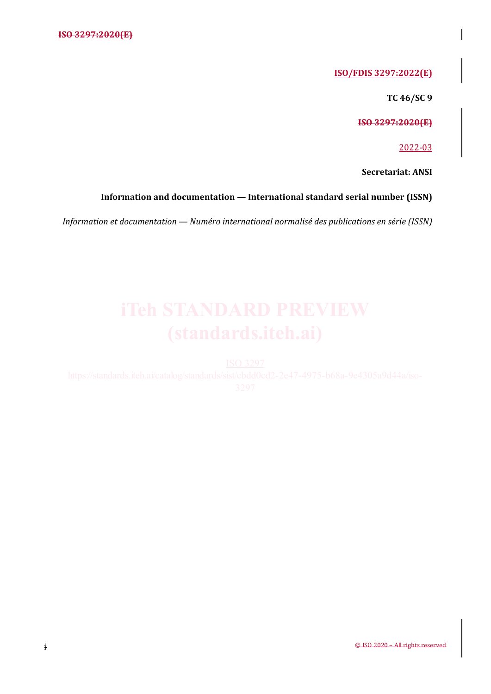## **ISO/FDIS 3297:2022(E)**

**TC 46/SC 9**

**ISO 3297:2020(E)**

2022-03

**Secretariat: ANSI**

## **Information and documentation — International standard serial number (ISSN)**

*Information et documentation — Numéro international normalisé des publications en série (ISSN)*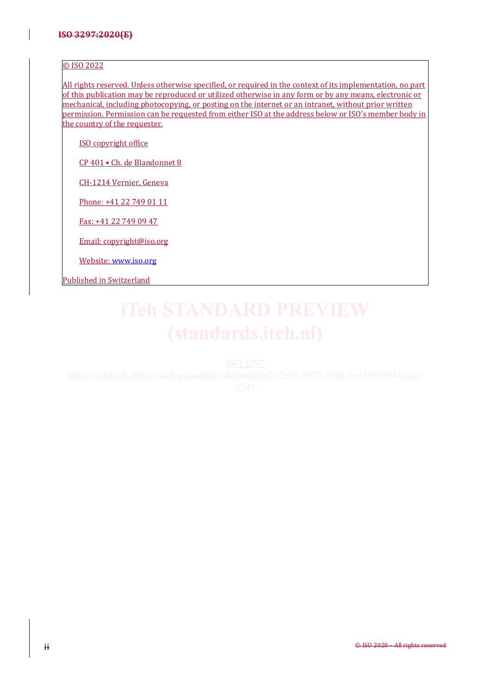### <span id="page-1-0"></span>© ISO 2022

All rights reserved. Unless otherwise specified, or required in the context of its implementation, no part of this publication may be reproduced or utilized otherwise in any form or by any means, electronic or mechanical, including photocopying, or posting on the internet or an intranet, without prior written permission. Permission can be requested from either ISO at the address below or ISO's member body in the country of the requester.

ISO copyright office

CP 401 • Ch. de Blandonnet 8

CH-1214 Vernier, Geneva

Phone: +41 22 749 01 11

Fax: +41 22 749 09 47

Email: copyright@iso.org

Website: [www.iso.org](http://www.iso.org/)

Published in Switzerland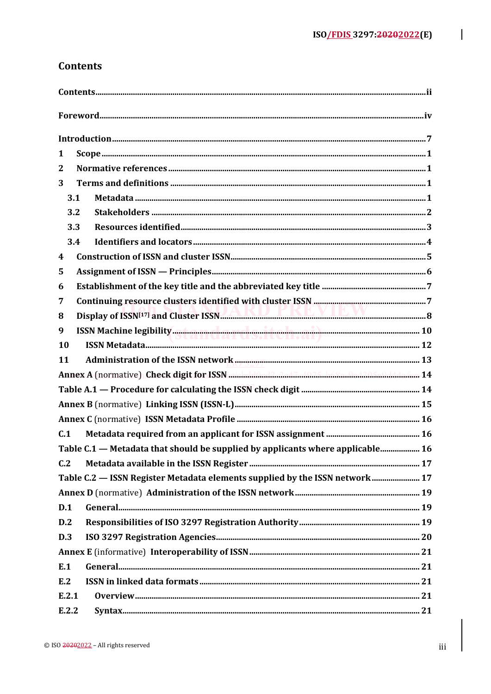# **Contents**

| 1                                                                                                                                                                                                                                                  |  |
|----------------------------------------------------------------------------------------------------------------------------------------------------------------------------------------------------------------------------------------------------|--|
| 2                                                                                                                                                                                                                                                  |  |
| 3                                                                                                                                                                                                                                                  |  |
| 3.1                                                                                                                                                                                                                                                |  |
| 3.2                                                                                                                                                                                                                                                |  |
| 3.3                                                                                                                                                                                                                                                |  |
| 3.4                                                                                                                                                                                                                                                |  |
| 4                                                                                                                                                                                                                                                  |  |
| 5                                                                                                                                                                                                                                                  |  |
| 6                                                                                                                                                                                                                                                  |  |
| 7                                                                                                                                                                                                                                                  |  |
| Display of ISSN <sup>[17]</sup> and Cluster ISSN <b>External Construction</b> 2014 12:00 13:00 14:00 15:00 16:00 16:00 16:00 16:00 16:00 16:00 16:00 16:00 16:00 16:00 16:00 16:00 16:00 16:00 16:00 16:00 16:00 16:00 16:00 16:00 16:00 16:0<br>8 |  |
| 9                                                                                                                                                                                                                                                  |  |
| 10                                                                                                                                                                                                                                                 |  |
| 11                                                                                                                                                                                                                                                 |  |
| Annex A (normative) Check digit for ISSN michaldinadaa.d.7 has a head announced 14                                                                                                                                                                 |  |
|                                                                                                                                                                                                                                                    |  |
|                                                                                                                                                                                                                                                    |  |
|                                                                                                                                                                                                                                                    |  |
| C.1                                                                                                                                                                                                                                                |  |
| Table C.1 — Metadata that should be supplied by applicants where applicable 16                                                                                                                                                                     |  |
| C.2                                                                                                                                                                                                                                                |  |
| Table C.2 - ISSN Register Metadata elements supplied by the ISSN network 17                                                                                                                                                                        |  |
|                                                                                                                                                                                                                                                    |  |
| D.1                                                                                                                                                                                                                                                |  |
| D.2                                                                                                                                                                                                                                                |  |
| D.3                                                                                                                                                                                                                                                |  |
|                                                                                                                                                                                                                                                    |  |
| E.1                                                                                                                                                                                                                                                |  |
| E.2                                                                                                                                                                                                                                                |  |
| E.2.1                                                                                                                                                                                                                                              |  |
| E.2.2                                                                                                                                                                                                                                              |  |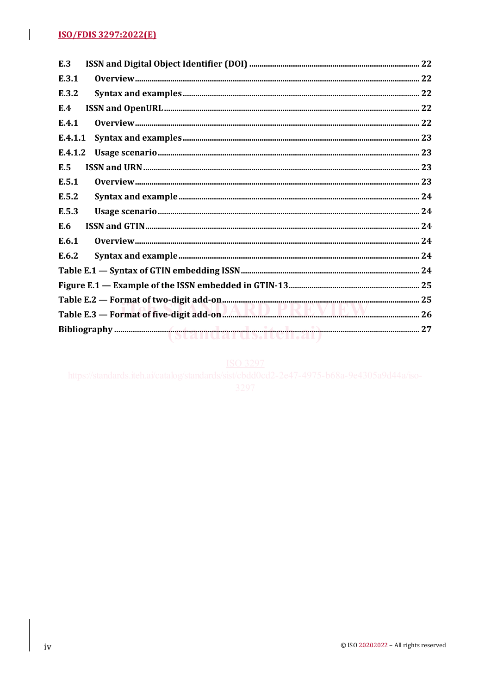$\overline{\phantom{a}}$ 

| E.3     |  |
|---------|--|
| E.3.1   |  |
| E.3.2   |  |
| E.4     |  |
| E.4.1   |  |
| E.4.1.1 |  |
| E.4.1.2 |  |
| E.5     |  |
| E.5.1   |  |
| E.5.2   |  |
| E.5.3   |  |
| E.6     |  |
| E.6.1   |  |
| E.6.2   |  |
|         |  |
|         |  |
|         |  |
|         |  |
|         |  |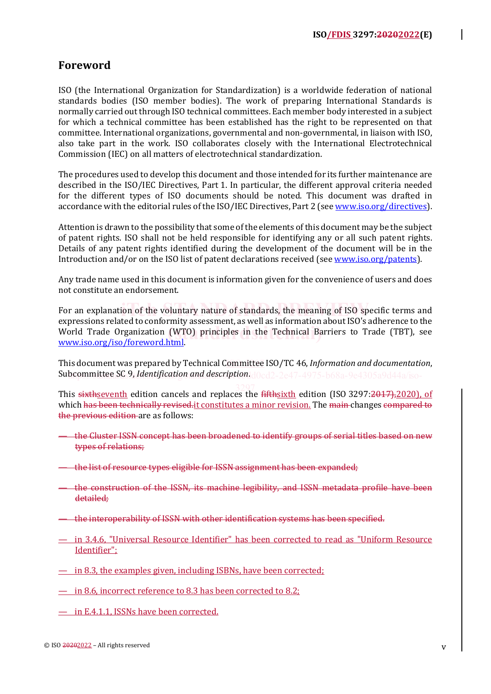# **Foreword**

ISO (the International Organization for Standardization) is a worldwide federation of national standards bodies (ISO member bodies). The work of preparing International Standards is normally carried out through ISO technical committees. Each member body interested in a subject for which a technical committee has been established has the right to be represented on that committee. International organizations, governmental and non-governmental, in liaison with ISO, also take part in the work. ISO collaborates closely with the International Electrotechnical Commission (IEC) on all matters of electrotechnical standardization.

The procedures used to develop this document and those intended for its further maintenance are described in the ISO/IEC Directives, Part 1. In particular, the different approval criteria needed for the different types of ISO documents should be noted. This document was drafted in accordance with the editorial rules of the ISO/IEC Directives, Part 2 (see [www.iso.org/directives\)](https://www.iso.org/directives-and-policies.html).

Attention is drawn to the possibility that some of the elements of this document may be the subject of patent rights. ISO shall not be held responsible for identifying any or all such patent rights. Details of any patent rights identified during the development of the document will be in the Introduction and/or on the ISO list of patent declarations received (see [www.iso.org/patents\)](https://www.iso.org/iso-standards-and-patents.html).

Any trade name used in this document is information given for the convenience of users and does not constitute an endorsement.

For an explanation of the voluntary nature of standards, the meaning of ISO specific terms and **interesting** and  $\frac{1}{2}$ expressions related to conformity assessment, as well as information about ISO's adherence to the **EXECUTE TRANSPORT CARGO CONFIDENT** CONSTRUCTED STATES IN THE TECHNICAL BARRIERS TO Trade (TBT), see **MANAY** iso org/iso/foreword.html [www.iso.org/iso/foreword.html.](https://www.iso.org/foreword-supplementary-information.html)

This document was prepared by Technical Committee ISO/TC 46, *Information and documentation*, **Subcommittee SC 9, Identification and description.**d0cd2-2e47-4975-b68a-9e4305a9d44a/iso-

This <del>sixth</del><u>seventh</u> edition cancels and replaces the <del>fifth</del><u>sixth</u> edition (ISO 3297:<del>2017),</del>2020), of which has been technically revised. it constitutes a minor revision. The main changes compared to the previous edition are as follows: 3297

- the Cluster ISSN concept has been broadened to identify groups of serial titles based on new types of relations;
- the list of resource types eligible for ISSN assignment has been expanded;
- the construction of the ISSN, its machine legibility, and ISSN metadata profile have been detailed;
- the interoperability of ISSN with other identification systems has been specified.
- in 3.4.6, "Universal Resource Identifier" has been corrected to read as "Uniform Resource Identifier";
- in 8.3, the examples given, including ISBNs, have been corrected;
- $-$  in 8.6, incorrect reference to 8.3 has been corrected to 8.2;
- in E.4.1.1, ISSNs have been corrected.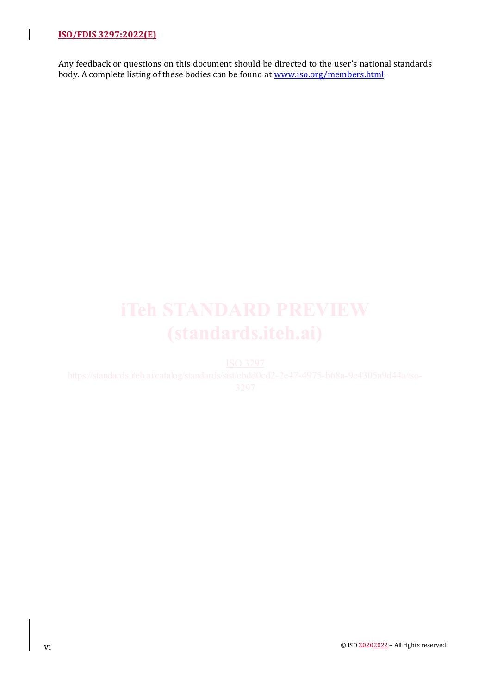Any feedback or questions on this document should be directed to the user's national standards body. A complete listing of these bodies can be found a[t www.iso.org/members.html.](https://www.iso.org/members.html)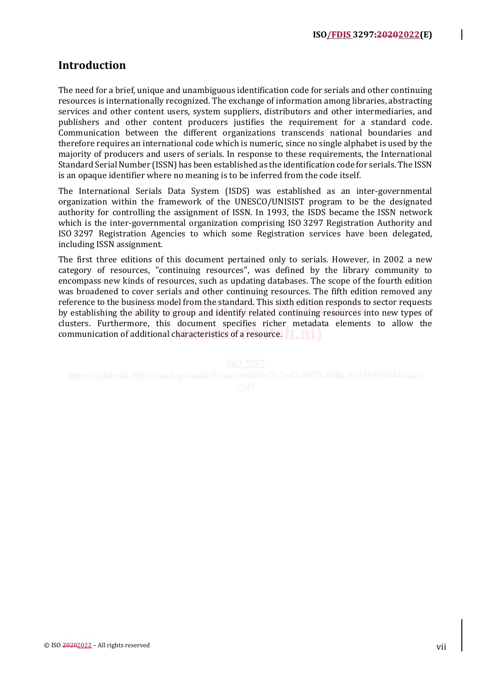# **Introduction**

The need for a brief, unique and unambiguous identification code for serials and other continuing resources is internationally recognized. The exchange of information among libraries, abstracting services and other content users, system suppliers, distributors and other intermediaries, and publishers and other content producers justifies the requirement for a standard code. Communication between the different organizations transcends national boundaries and therefore requires an international code which is numeric, since no single alphabet is used by the majority of producers and users of serials. In response to these requirements, the International Standard Serial Number (ISSN) has been established as the identification code for serials. The ISSN is an opaque identifier where no meaning is to be inferred from the code itself.

The International Serials Data System (ISDS) was established as an inter-governmental organization within the framework of the UNESCO/UNISIST program to be the designated authority for controlling the assignment of ISSN. In 1993, the ISDS became the ISSN network which is the inter-governmental organization comprising ISO 3297 Registration Authority and ISO 3297 Registration Agencies to which some Registration services have been delegated, including ISSN assignment.

The first three editions of this document pertained only to serials. However, in 2002 a new category of resources, "continuing resources", was defined by the library community to encompass new kinds of resources, such as updating databases. The scope of the fourth edition was broadened to cover serials and other continuing resources. The fifth edition removed any reference to the business model from the standard. This sixth edition responds to sector requests reference to the business model from the standard. This sixth edition responds to sector requests<br>by establishing the ability to group and identify related continuing resources into new types of clusters. Furthermore, this document specifies richer metadata elements to allow the clusters. Furthermore, this document specifies ficher inetadation of additional characteristics of a resource.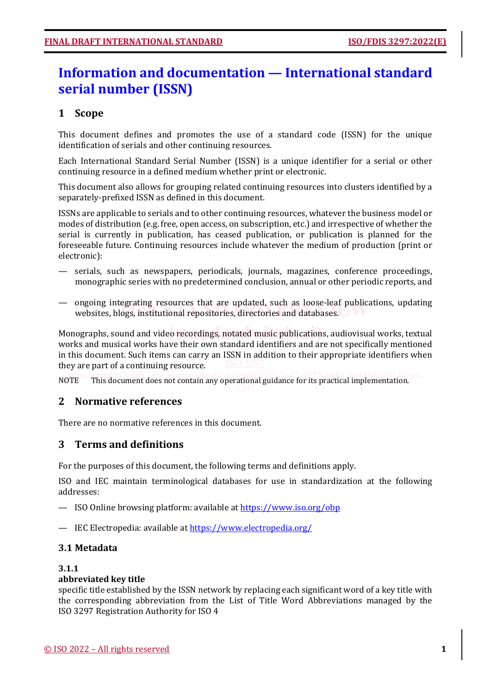# **Information and documentation — International standard serial number (ISSN)**

# **1 Scope**

This document defines and promotes the use of a standard code (ISSN) for the unique identification of serials and other continuing resources.

Each International Standard Serial Number (ISSN) is a unique identifier for a serial or other continuing resource in a defined medium whether print or electronic.

This document also allows for grouping related continuing resources into clusters identified by a separately-prefixed ISSN as defined in this document.

ISSNs are applicable to serials and to other continuing resources, whatever the business model or modes of distribution (e.g. free, open access, on subscription, etc.) and irrespective of whether the serial is currently in publication, has ceased publication, or publication is planned for the foreseeable future. Continuing resources include whatever the medium of production (print or electronic):

- serials, such as newspapers, periodicals, journals, magazines, conference proceedings, monographic series with no predetermined conclusion, annual or other periodic reports, and
- ongoing integrating resources that are updated, such as loose-leaf publications, updating ongoing integrating resources that are updated, such as loose-leaf publicat<br>websites, blogs, institutional repositories, directories and databases.

Monographs, sound and video recordings, notated music publications, audiovisual works, textual Monographs, and a<br><u>International works, the contractor</u> of the contractor of the contractor of the contractor of the contractor works and musical works have their own standard identifiers and are not specifically mentioned in this document. Such items can carry an ISSN in addition to their appropriate identifiers when they are part of a continuing resource.

nomentation.<br>Nomentation.<sup>80-</sup><br>Momentation.<sup>80-</sup>

# **2 Normative references**

There are no normative references in this document.

# **3 Terms and definitions**

For the purposes of this document, the following terms and definitions apply.

ISO and IEC maintain terminological databases for use in standardization at the following addresses:

- ISO Online browsing platform: available a[t https://www.iso.org/obp](https://www.iso.org/obp)
- IEC Electropedia: available at<https://www.electropedia.org/>

# **3.1 Metadata**

## **3.1.1**

# **abbreviated key title**

specific title established by the ISSN network by replacing each significant word of a key title with the corresponding abbreviation from the List of Title Word Abbreviations managed by the ISO 3297 Registration Authority for ISO 4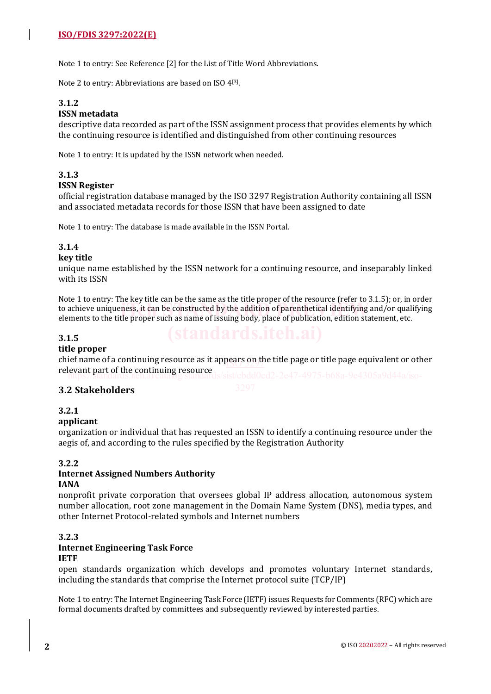Note 1 to entry: See Reference [2] for the List of Title Word Abbreviations.

Note 2 to entry: Abbreviations are based on ISO 4<sup>[3]</sup>.

# **3.1.2**

### **ISSN metadata**

descriptive data recorded as part of the ISSN assignment process that provides elements by which the continuing resource is identified and distinguished from other continuing resources

Note 1 to entry: It is updated by the ISSN network when needed.

### **3.1.3**

### **ISSN Register**

official registration database managed by the ISO 3297 Registration Authority containing all ISSN and associated metadata records for those ISSN that have been assigned to date

Note 1 to entry: The database is made available in the ISSN Portal.

# **3.1.4**

### **key title**

unique name established by the ISSN network for a continuing resource, and inseparably linked with its ISSN

Note 1 to entry: The key title can be the same as the title proper of the resource (refer to 3.1.5); or, in order to achieve uniqueness, it can be constructed by the addition of parenthetical identifying and/or qualifying elements to the title proper such as name of issuing body place of publication edition statement etc elements to the title proper such as name of issuing body, place of publication, edition statement, etc.

### **3.1.5**

### **title proper**

chief name of a continuing resource as it appears on the title page or title page equivalent or other relevant part of the continuing resource

### **3.2 Stakeholders**

### **3.2.1**

### **applicant**

organization or individual that has requested an ISSN to identify a continuing resource under the aegis of, and according to the rules specified by the Registration Authority

### **3.2.2**

# **Internet Assigned Numbers Authority**

# **IANA**

nonprofit private corporation that oversees global IP address allocation, autonomous system number allocation, root zone management in the Domain Name System (DNS), media types, and other Internet Protocol-related symbols and Internet numbers

### **3.2.3 Internet Engineering Task Force IETF**

open standards organization which develops and promotes voluntary Internet standards, including the standards that comprise the Internet protocol suite (TCP/IP)

Note 1 to entry: The Internet Engineering Task Force (IETF) issues Requests for Comments (RFC) which are formal documents drafted by committees and subsequently reviewed by interested parties.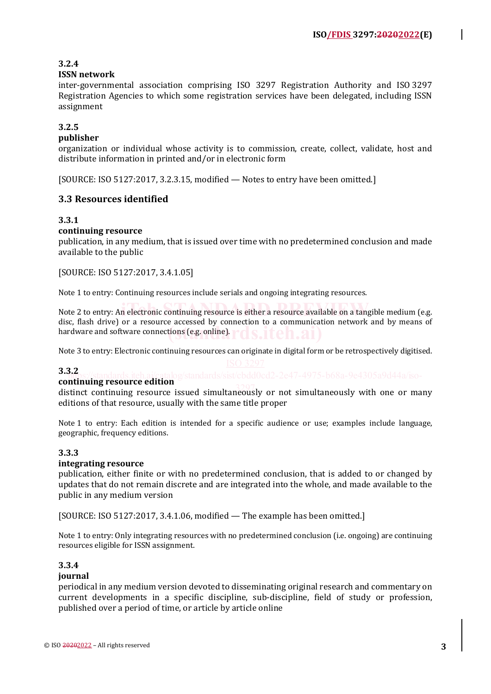## **3.2.4**

### **ISSN network**

inter-governmental association comprising ISO 3297 Registration Authority and ISO 3297 Registration Agencies to which some registration services have been delegated, including ISSN assignment

### **3.2.5**

### **publisher**

organization or individual whose activity is to commission, create, collect, validate, host and distribute information in printed and/or in electronic form

[SOURCE: ISO 5127:2017, 3.2.3.15, modified — Notes to entry have been omitted.]

### **3.3 Resources identified**

### **3.3.1**

### **continuing resource**

publication, in any medium, that is issued over time with no predetermined conclusion and made available to the public

[SOURCE: ISO 5127:2017, 3.4.1.05]

Note 1 to entry: Continuing resources include serials and ongoing integrating resources.

Note 2 to entry: An electronic continuing resource is either a resource available on a tangible medium (e.g. disc, flash drive) or a resource accessed by connection to a communication network and by means of hardware and software connections (e.g. online). **FOSTER.ai**)

Note 3 to entry: Electronic continuing resources can originate in digital form or be retrospectively digitised.

### **3.3.2**

# **continuing resource edition**

distinct continuing resource issued simultaneously or not simultaneously with one or many 3297editions of that resource, usually with the same title proper

Note 1 to entry: Each edition is intended for a specific audience or use; examples include language, geographic, frequency editions.

### **3.3.3**

### **integrating resource**

publication, either finite or with no predetermined conclusion, that is added to or changed by updates that do not remain discrete and are integrated into the whole, and made available to the public in any medium version

[SOURCE: ISO 5127:2017, 3.4.1.06, modified — The example has been omitted.]

Note 1 to entry: Only integrating resources with no predetermined conclusion (i.e. ongoing) are continuing resources eligible for ISSN assignment.

# **3.3.4**

### **journal**

periodical in any medium version devoted to disseminating original research and commentary on current developments in a specific discipline, sub-discipline, field of study or profession, published over a period of time, or article by article online